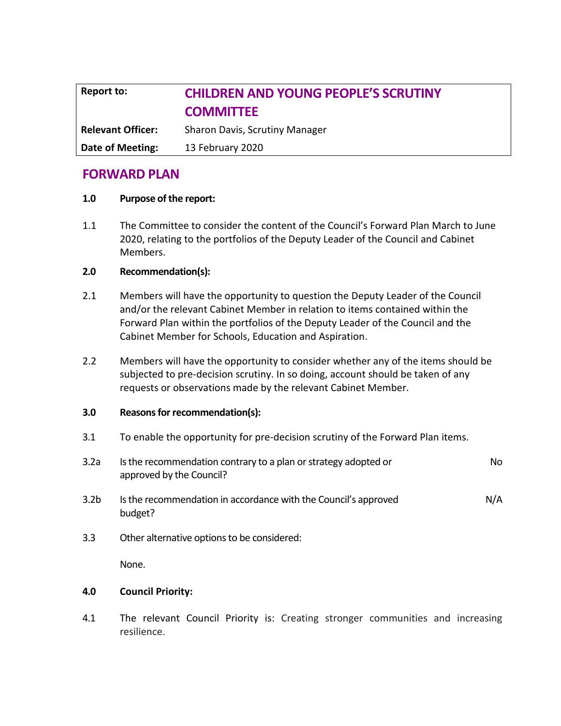# **Report to: CHILDREN AND YOUNG PEOPLE'S SCRUTINY COMMITTEE Relevant Officer:** Sharon Davis, Scrutiny Manager **Date of Meeting:** 13 February 2020

# **FORWARD PLAN**

# **1.0 Purpose of the report:**

1.1 The Committee to consider the content of the Council's Forward Plan March to June 2020, relating to the portfolios of the Deputy Leader of the Council and Cabinet Members.

# **2.0 Recommendation(s):**

- 2.1 Members will have the opportunity to question the Deputy Leader of the Council and/or the relevant Cabinet Member in relation to items contained within the Forward Plan within the portfolios of the Deputy Leader of the Council and the Cabinet Member for Schools, Education and Aspiration.
- 2.2 Members will have the opportunity to consider whether any of the items should be subjected to pre-decision scrutiny. In so doing, account should be taken of any requests or observations made by the relevant Cabinet Member.

#### **3.0 Reasons for recommendation(s):**

- 3.1 To enable the opportunity for pre-decision scrutiny of the Forward Plan items.
- 3.2a Is the recommendation contrary to a plan or strategy adopted or approved by the Council? No
- 3.2b Is the recommendation in accordance with the Council's approved budget? N/A
- 3.3 Other alternative options to be considered:

None.

#### **4.0 Council Priority:**

4.1 The relevant Council Priority is: Creating stronger communities and increasing resilience.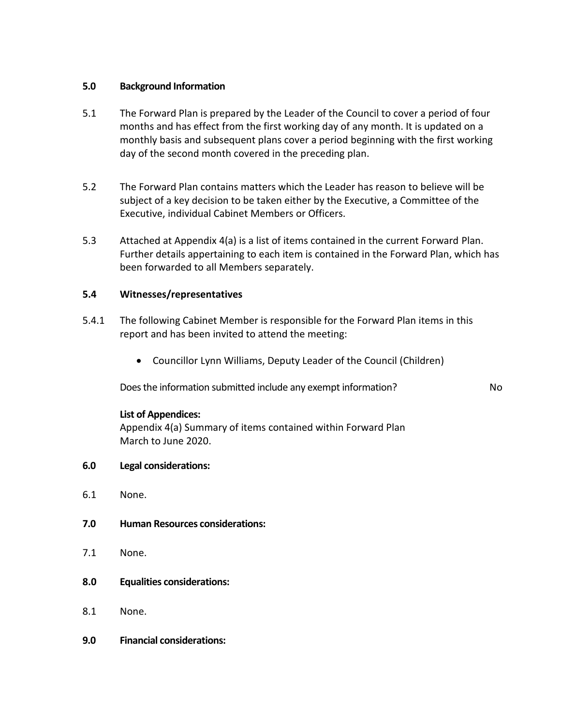# **5.0 Background Information**

- 5.1 The Forward Plan is prepared by the Leader of the Council to cover a period of four months and has effect from the first working day of any month. It is updated on a monthly basis and subsequent plans cover a period beginning with the first working day of the second month covered in the preceding plan.
- 5.2 The Forward Plan contains matters which the Leader has reason to believe will be subject of a key decision to be taken either by the Executive, a Committee of the Executive, individual Cabinet Members or Officers.
- 5.3 Attached at Appendix 4(a) is a list of items contained in the current Forward Plan. Further details appertaining to each item is contained in the Forward Plan, which has been forwarded to all Members separately.

# **5.4 Witnesses/representatives**

- 5.4.1 The following Cabinet Member is responsible for the Forward Plan items in this report and has been invited to attend the meeting:
	- Councillor Lynn Williams, Deputy Leader of the Council (Children)

Does the information submitted include any exempt information? No

#### **List of Appendices:**

Appendix 4(a) Summary of items contained within Forward Plan March to June 2020.

- **6.0 Legal considerations:**
- 6.1 None.
- **7.0 Human Resources considerations:**
- 7.1 None.
- **8.0 Equalities considerations:**
- 8.1 None.
- **9.0 Financial considerations:**